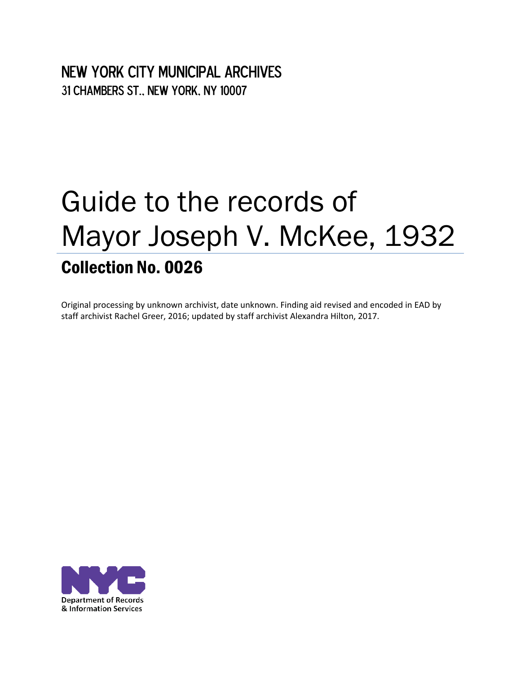# Guide to the records of Mayor Joseph V. McKee, 1932 Collection No. 0026

Original processing by unknown archivist, date unknown. Finding aid revised and encoded in EAD by staff archivist Rachel Greer, 2016; updated by staff archivist Alexandra Hilton, 2017.

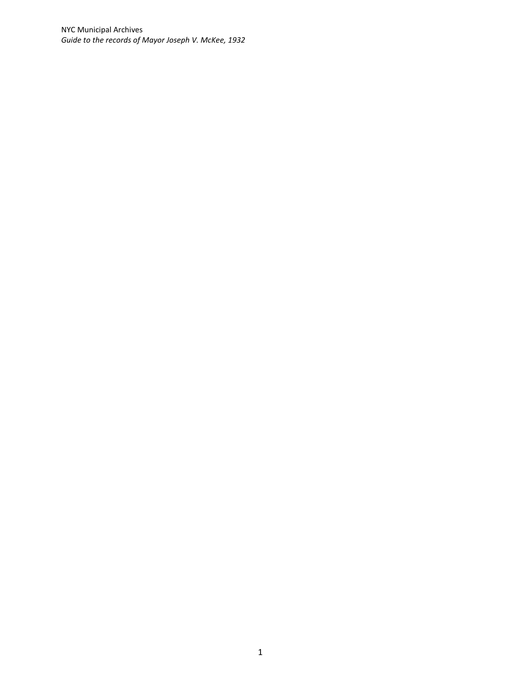NYC Municipal Archives *Guide to the records of Mayor Joseph V. McKee, 1932*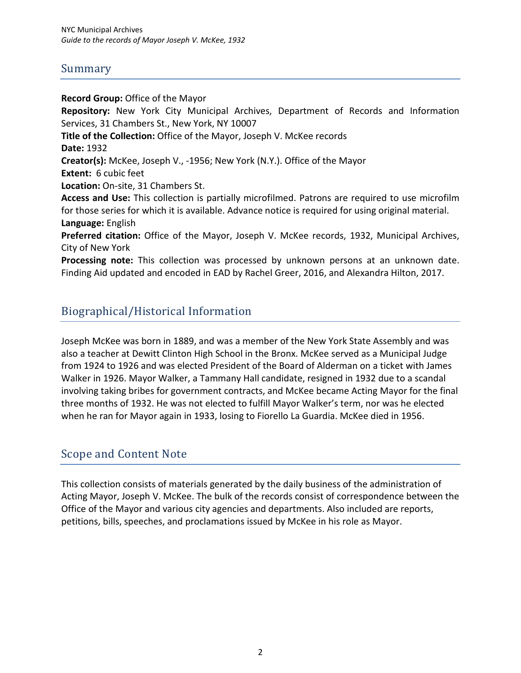## Summary

**Record Group:** Office of the Mayor

**Repository:** New York City Municipal Archives, Department of Records and Information Services, 31 Chambers St., New York, NY 10007

**Title of the Collection:** Office of the Mayor, Joseph V. McKee records

**Date:** 1932

**Creator(s):** McKee, Joseph V., -1956; New York (N.Y.). Office of the Mayor

**Extent:** 6 cubic feet

**Location:** On-site, 31 Chambers St.

**Access and Use:** This collection is partially microfilmed. Patrons are required to use microfilm for those series for which it is available. Advance notice is required for using original material. **Language:** English

**Preferred citation:** Office of the Mayor, Joseph V. McKee records, 1932, Municipal Archives, City of New York

**Processing note:** This collection was processed by unknown persons at an unknown date. Finding Aid updated and encoded in EAD by Rachel Greer, 2016, and Alexandra Hilton, 2017.

# Biographical/Historical Information

Joseph McKee was born in 1889, and was a member of the New York State Assembly and was also a teacher at Dewitt Clinton High School in the Bronx. McKee served as a Municipal Judge from 1924 to 1926 and was elected President of the Board of Alderman on a ticket with James Walker in 1926. Mayor Walker, a Tammany Hall candidate, resigned in 1932 due to a scandal involving taking bribes for government contracts, and McKee became Acting Mayor for the final three months of 1932. He was not elected to fulfill Mayor Walker's term, nor was he elected when he ran for Mayor again in 1933, losing to Fiorello La Guardia. McKee died in 1956.

# Scope and Content Note

This collection consists of materials generated by the daily business of the administration of Acting Mayor, Joseph V. McKee. The bulk of the records consist of correspondence between the Office of the Mayor and various city agencies and departments. Also included are reports, petitions, bills, speeches, and proclamations issued by McKee in his role as Mayor.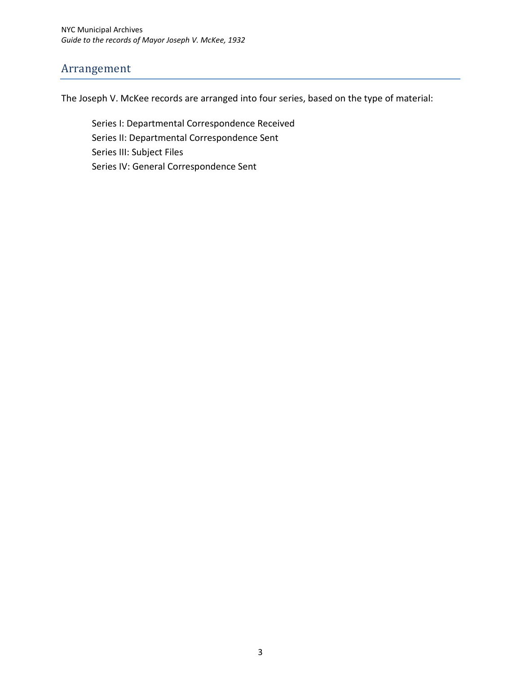## Arrangement

The Joseph V. McKee records are arranged into four series, based on the type of material:

Series I: Departmental Correspondence Received Series II: Departmental Correspondence Sent Series III: Subject Files Series IV: General Correspondence Sent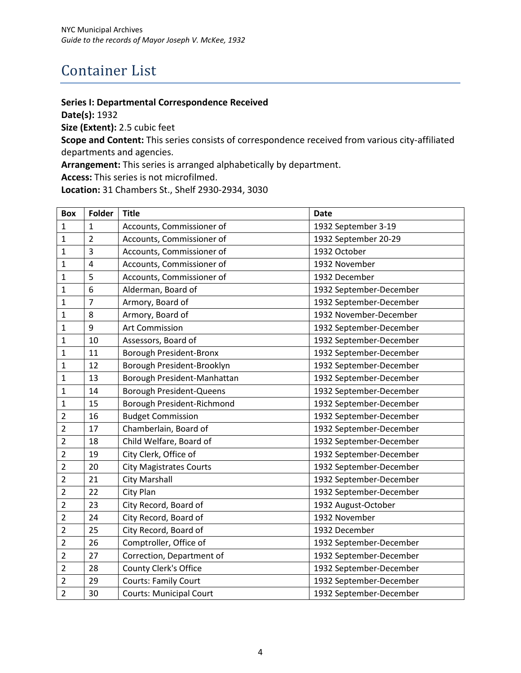# Container List

#### **Series I: Departmental Correspondence Received**

**Date(s):** 1932

**Size (Extent):** 2.5 cubic feet

**Scope and Content:** This series consists of correspondence received from various city-affiliated departments and agencies.

**Arrangement:** This series is arranged alphabetically by department.

**Access:** This series is not microfilmed.

**Location:** 31 Chambers St., Shelf 2930-2934, 3030

| <b>Box</b>     | Folder                  | <b>Title</b>                    | <b>Date</b>             |
|----------------|-------------------------|---------------------------------|-------------------------|
| $\mathbf{1}$   | $\mathbf{1}$            | Accounts, Commissioner of       | 1932 September 3-19     |
| $\mathbf 1$    | $\overline{2}$          | Accounts, Commissioner of       | 1932 September 20-29    |
| $\mathbf{1}$   | 3                       | Accounts, Commissioner of       | 1932 October            |
| $\mathbf{1}$   | $\overline{\mathbf{4}}$ | Accounts, Commissioner of       | 1932 November           |
| $\mathbf{1}$   | 5                       | Accounts, Commissioner of       | 1932 December           |
| $\mathbf{1}$   | 6                       | Alderman, Board of              | 1932 September-December |
| $\mathbf 1$    | $\overline{7}$          | Armory, Board of                | 1932 September-December |
| $\mathbf{1}$   | 8                       | Armory, Board of                | 1932 November-December  |
| $\mathbf{1}$   | $9\,$                   | <b>Art Commission</b>           | 1932 September-December |
| $\mathbf 1$    | 10                      | Assessors, Board of             | 1932 September-December |
| $\mathbf{1}$   | 11                      | <b>Borough President-Bronx</b>  | 1932 September-December |
| $\mathbf 1$    | 12                      | Borough President-Brooklyn      | 1932 September-December |
| $\mathbf{1}$   | 13                      | Borough President-Manhattan     | 1932 September-December |
| $\mathbf{1}$   | 14                      | <b>Borough President-Queens</b> | 1932 September-December |
| $\mathbf{1}$   | 15                      | Borough President-Richmond      | 1932 September-December |
| $\overline{2}$ | 16                      | <b>Budget Commission</b>        | 1932 September-December |
| $\overline{2}$ | 17                      | Chamberlain, Board of           | 1932 September-December |
| $\overline{2}$ | 18                      | Child Welfare, Board of         | 1932 September-December |
| $\overline{2}$ | 19                      | City Clerk, Office of           | 1932 September-December |
| $\overline{2}$ | 20                      | <b>City Magistrates Courts</b>  | 1932 September-December |
| $\overline{2}$ | 21                      | <b>City Marshall</b>            | 1932 September-December |
| $\overline{2}$ | 22                      | City Plan                       | 1932 September-December |
| $\overline{2}$ | 23                      | City Record, Board of           | 1932 August-October     |
| $\overline{2}$ | 24                      | City Record, Board of           | 1932 November           |
| $\overline{2}$ | 25                      | City Record, Board of           | 1932 December           |
| $\overline{2}$ | 26                      | Comptroller, Office of          | 1932 September-December |
| $\overline{2}$ | 27                      | Correction, Department of       | 1932 September-December |
| $\overline{2}$ | 28                      | County Clerk's Office           | 1932 September-December |
| $\mathbf 2$    | 29                      | Courts: Family Court            | 1932 September-December |
| $\overline{2}$ | 30                      | <b>Courts: Municipal Court</b>  | 1932 September-December |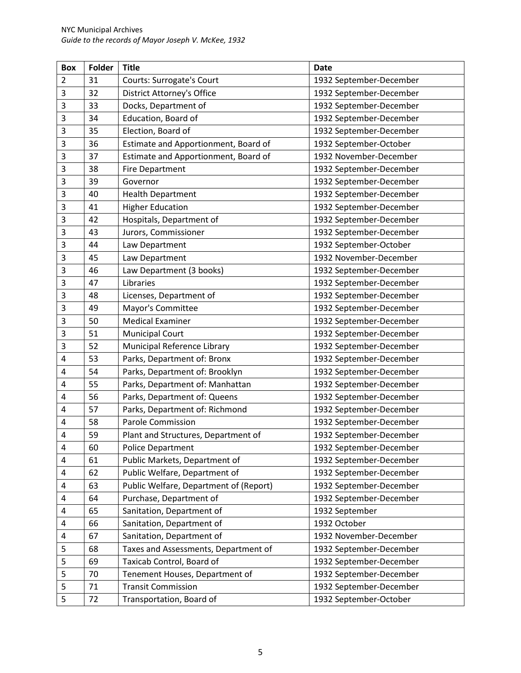| Box            | Folder | <b>Title</b>                           | <b>Date</b>             |
|----------------|--------|----------------------------------------|-------------------------|
| $\mathbf 2$    | 31     | Courts: Surrogate's Court              | 1932 September-December |
| 3              | 32     | <b>District Attorney's Office</b>      | 1932 September-December |
| 3              | 33     | Docks, Department of                   | 1932 September-December |
| 3              | 34     | Education, Board of                    | 1932 September-December |
| 3              | 35     | Election, Board of                     | 1932 September-December |
| 3              | 36     | Estimate and Apportionment, Board of   | 1932 September-October  |
| 3              | 37     | Estimate and Apportionment, Board of   | 1932 November-December  |
| 3              | 38     | <b>Fire Department</b>                 | 1932 September-December |
| 3              | 39     | Governor                               | 1932 September-December |
| 3              | 40     | <b>Health Department</b>               | 1932 September-December |
| 3              | 41     | <b>Higher Education</b>                | 1932 September-December |
| 3              | 42     | Hospitals, Department of               | 1932 September-December |
| 3              | 43     | Jurors, Commissioner                   | 1932 September-December |
| 3              | 44     | Law Department                         | 1932 September-October  |
| 3              | 45     | Law Department                         | 1932 November-December  |
| $\mathbf{3}$   | 46     | Law Department (3 books)               | 1932 September-December |
| 3              | 47     | Libraries                              | 1932 September-December |
| $\mathbf{3}$   | 48     | Licenses, Department of                | 1932 September-December |
| 3              | 49     | Mayor's Committee                      | 1932 September-December |
| 3              | 50     | <b>Medical Examiner</b>                | 1932 September-December |
| 3              | 51     | <b>Municipal Court</b>                 | 1932 September-December |
| $\mathbf{3}$   | 52     | Municipal Reference Library            | 1932 September-December |
| 4              | 53     | Parks, Department of: Bronx            | 1932 September-December |
| 4              | 54     | Parks, Department of: Brooklyn         | 1932 September-December |
| 4              | 55     | Parks, Department of: Manhattan        | 1932 September-December |
| 4              | 56     | Parks, Department of: Queens           | 1932 September-December |
| 4              | 57     | Parks, Department of: Richmond         | 1932 September-December |
| 4              | 58     | <b>Parole Commission</b>               | 1932 September-December |
| $\overline{4}$ | 59     | Plant and Structures, Department of    | 1932 September-December |
| 4              | 60     | <b>Police Department</b>               | 1932 September-December |
| 4              | 61     | Public Markets, Department of          | 1932 September-December |
| 4              | 62     | Public Welfare, Department of          | 1932 September-December |
| 4              | 63     | Public Welfare, Department of (Report) | 1932 September-December |
| 4              | 64     | Purchase, Department of                | 1932 September-December |
| 4              | 65     | Sanitation, Department of              | 1932 September          |
| $\sqrt{4}$     | 66     | Sanitation, Department of              | 1932 October            |
| 4              | 67     | Sanitation, Department of              | 1932 November-December  |
| 5              | 68     | Taxes and Assessments, Department of   | 1932 September-December |
| 5              | 69     | Taxicab Control, Board of              | 1932 September-December |
| 5              | 70     | Tenement Houses, Department of         | 1932 September-December |
| 5              | 71     | <b>Transit Commission</b>              | 1932 September-December |
| 5              | 72     | Transportation, Board of               | 1932 September-October  |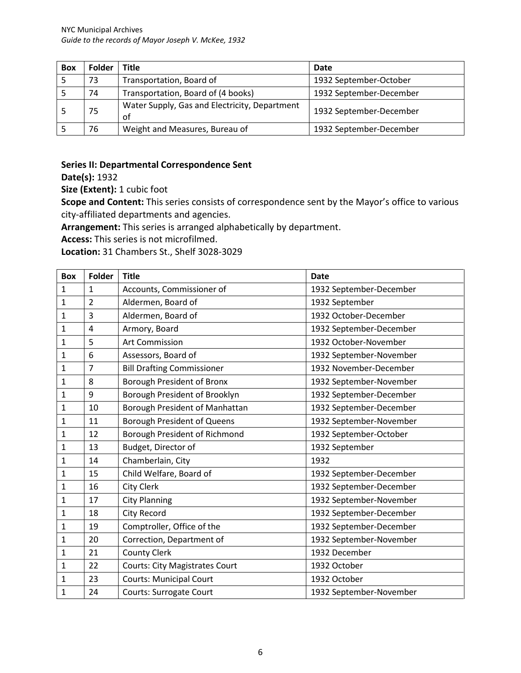| <b>Box</b> | Folder | Title                                               | Date                    |
|------------|--------|-----------------------------------------------------|-------------------------|
|            | 73     | Transportation, Board of                            | 1932 September-October  |
|            | 74     | Transportation, Board of (4 books)                  | 1932 September-December |
|            | 75     | Water Supply, Gas and Electricity, Department<br>οf | 1932 September-December |
|            | 76     | Weight and Measures, Bureau of                      | 1932 September-December |

#### **Series II: Departmental Correspondence Sent**

**Date(s):** 1932

**Size (Extent):** 1 cubic foot

**Scope and Content:** This series consists of correspondence sent by the Mayor's office to various city-affiliated departments and agencies.

**Arrangement:** This series is arranged alphabetically by department.

**Access:** This series is not microfilmed.

**Location:** 31 Chambers St., Shelf 3028-3029

| Box          | <b>Folder</b>  | <b>Title</b>                          | <b>Date</b>             |
|--------------|----------------|---------------------------------------|-------------------------|
| 1            | $\mathbf{1}$   | Accounts, Commissioner of             | 1932 September-December |
| $\mathbf{1}$ | $\overline{2}$ | Aldermen, Board of                    | 1932 September          |
| $\mathbf{1}$ | 3              | Aldermen, Board of                    | 1932 October-December   |
| $\mathbf{1}$ | 4              | Armory, Board                         | 1932 September-December |
| 1            | 5              | <b>Art Commission</b>                 | 1932 October-November   |
| $\mathbf{1}$ | 6              | Assessors, Board of                   | 1932 September-November |
| $\mathbf{1}$ | 7              | <b>Bill Drafting Commissioner</b>     | 1932 November-December  |
| $\mathbf{1}$ | 8              | Borough President of Bronx            | 1932 September-November |
| $\mathbf{1}$ | 9              | Borough President of Brooklyn         | 1932 September-December |
| $\mathbf{1}$ | 10             | Borough President of Manhattan        | 1932 September-December |
| $\mathbf{1}$ | 11             | <b>Borough President of Queens</b>    | 1932 September-November |
| $\mathbf{1}$ | 12             | Borough President of Richmond         | 1932 September-October  |
| $\mathbf{1}$ | 13             | Budget, Director of                   | 1932 September          |
| $\mathbf{1}$ | 14             | Chamberlain, City                     | 1932                    |
| $\mathbf{1}$ | 15             | Child Welfare, Board of               | 1932 September-December |
| $\mathbf{1}$ | 16             | City Clerk                            | 1932 September-December |
| $\mathbf{1}$ | 17             | <b>City Planning</b>                  | 1932 September-November |
| $\mathbf{1}$ | 18             | City Record                           | 1932 September-December |
| $\mathbf{1}$ | 19             | Comptroller, Office of the            | 1932 September-December |
| $\mathbf{1}$ | 20             | Correction, Department of             | 1932 September-November |
| $\mathbf{1}$ | 21             | <b>County Clerk</b>                   | 1932 December           |
| $\mathbf{1}$ | 22             | <b>Courts: City Magistrates Court</b> | 1932 October            |
| 1            | 23             | <b>Courts: Municipal Court</b>        | 1932 October            |
| $\mathbf{1}$ | 24             | Courts: Surrogate Court               | 1932 September-November |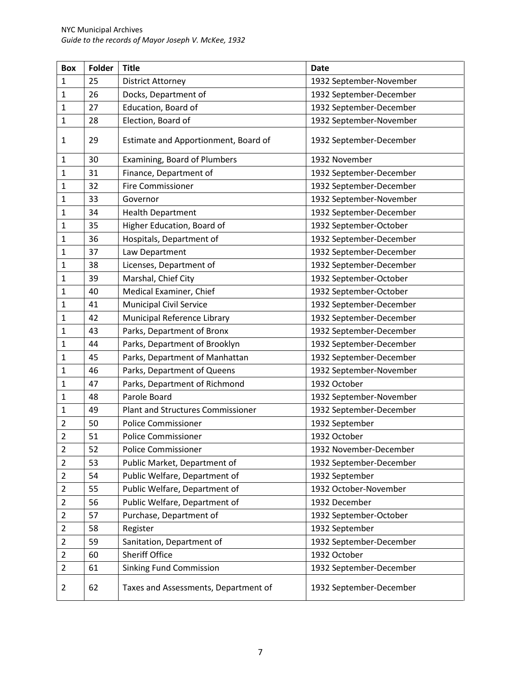| <b>Box</b>     | Folder | <b>Title</b>                             | Date                    |
|----------------|--------|------------------------------------------|-------------------------|
| $\mathbf{1}$   | 25     | <b>District Attorney</b>                 | 1932 September-November |
| $\mathbf{1}$   | 26     | Docks, Department of                     | 1932 September-December |
| $\mathbf{1}$   | 27     | Education, Board of                      | 1932 September-December |
| $\mathbf{1}$   | 28     | Election, Board of                       | 1932 September-November |
| 1              | 29     | Estimate and Apportionment, Board of     | 1932 September-December |
| $\mathbf{1}$   | 30     | Examining, Board of Plumbers             | 1932 November           |
| $\mathbf 1$    | 31     | Finance, Department of                   | 1932 September-December |
| $\mathbf{1}$   | 32     | <b>Fire Commissioner</b>                 | 1932 September-December |
| $\mathbf{1}$   | 33     | Governor                                 | 1932 September-November |
| $\mathbf{1}$   | 34     | <b>Health Department</b>                 | 1932 September-December |
| $\mathbf{1}$   | 35     | Higher Education, Board of               | 1932 September-October  |
| $\mathbf{1}$   | 36     | Hospitals, Department of                 | 1932 September-December |
| $\mathbf{1}$   | 37     | Law Department                           | 1932 September-December |
| $\mathbf{1}$   | 38     | Licenses, Department of                  | 1932 September-December |
| $\mathbf{1}$   | 39     | Marshal, Chief City                      | 1932 September-October  |
| $\mathbf{1}$   | 40     | Medical Examiner, Chief                  | 1932 September-October  |
| $\mathbf 1$    | 41     | <b>Municipal Civil Service</b>           | 1932 September-December |
| $\mathbf{1}$   | 42     | Municipal Reference Library              | 1932 September-December |
| $\mathbf{1}$   | 43     | Parks, Department of Bronx               | 1932 September-December |
| $\mathbf{1}$   | 44     | Parks, Department of Brooklyn            | 1932 September-December |
| $\mathbf 1$    | 45     | Parks, Department of Manhattan           | 1932 September-December |
| 1              | 46     | Parks, Department of Queens              | 1932 September-November |
| $\mathbf{1}$   | 47     | Parks, Department of Richmond            | 1932 October            |
| $\mathbf 1$    | 48     | Parole Board                             | 1932 September-November |
| 1              | 49     | <b>Plant and Structures Commissioner</b> | 1932 September-December |
| $\mathbf 2$    | 50     | <b>Police Commissioner</b>               | 1932 September          |
| $\overline{2}$ | 51     | <b>Police Commissioner</b>               | 1932 October            |
| $\overline{2}$ | 52     | Police Commissioner                      | 1932 November-December  |
| $\overline{2}$ | 53     | Public Market, Department of             | 1932 September-December |
| $\overline{2}$ | 54     | Public Welfare, Department of            | 1932 September          |
| 2              | 55     | Public Welfare, Department of            | 1932 October-November   |
| $\overline{2}$ | 56     | Public Welfare, Department of            | 1932 December           |
| $\overline{2}$ | 57     | Purchase, Department of                  | 1932 September-October  |
| $\overline{2}$ | 58     | Register                                 | 1932 September          |
| 2              | 59     | Sanitation, Department of                | 1932 September-December |
| $\overline{2}$ | 60     | <b>Sheriff Office</b>                    | 1932 October            |
| $\overline{2}$ | 61     | <b>Sinking Fund Commission</b>           | 1932 September-December |
| 2              | 62     | Taxes and Assessments, Department of     | 1932 September-December |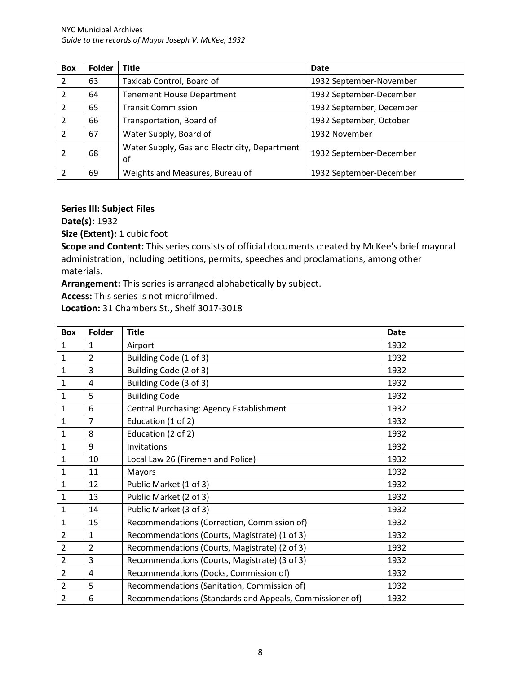| <b>Box</b> | Folder | <b>Title</b>                                        | Date                     |
|------------|--------|-----------------------------------------------------|--------------------------|
| 2          | 63     | Taxicab Control, Board of                           | 1932 September-November  |
| 2          | 64     | <b>Tenement House Department</b>                    | 1932 September-December  |
|            | 65     | <b>Transit Commission</b>                           | 1932 September, December |
|            | 66     | Transportation, Board of                            | 1932 September, October  |
|            | 67     | Water Supply, Board of                              | 1932 November            |
|            | 68     | Water Supply, Gas and Electricity, Department<br>οf | 1932 September-December  |
|            | 69     | Weights and Measures, Bureau of                     | 1932 September-December  |

#### **Series III: Subject Files**

**Date(s):** 1932

**Size (Extent):** 1 cubic foot

**Scope and Content:** This series consists of official documents created by McKee's brief mayoral administration, including petitions, permits, speeches and proclamations, among other materials.

**Arrangement:** This series is arranged alphabetically by subject.

**Access:** This series is not microfilmed.

**Location:** 31 Chambers St., Shelf 3017-3018

| <b>Box</b>     | <b>Folder</b>  | <b>Title</b>                                             | <b>Date</b> |
|----------------|----------------|----------------------------------------------------------|-------------|
| $\mathbf{1}$   | 1              | Airport                                                  | 1932        |
| $\mathbf{1}$   | $\overline{2}$ | Building Code (1 of 3)                                   | 1932        |
| $\mathbf{1}$   | 3              | Building Code (2 of 3)                                   | 1932        |
| $\mathbf{1}$   | 4              | Building Code (3 of 3)                                   | 1932        |
| $\mathbf{1}$   | 5              | <b>Building Code</b>                                     | 1932        |
| $\mathbf{1}$   | 6              | Central Purchasing: Agency Establishment                 | 1932        |
| $\mathbf{1}$   | 7              | Education (1 of 2)                                       | 1932        |
| $\mathbf{1}$   | 8              | Education (2 of 2)                                       | 1932        |
| $\mathbf{1}$   | 9              | Invitations                                              | 1932        |
| $\mathbf{1}$   | 10             | Local Law 26 (Firemen and Police)                        | 1932        |
| $\mathbf 1$    | 11             | Mayors                                                   | 1932        |
| $\mathbf{1}$   | 12             | Public Market (1 of 3)                                   | 1932        |
| $\mathbf{1}$   | 13             | Public Market (2 of 3)                                   | 1932        |
| $\mathbf{1}$   | 14             | Public Market (3 of 3)                                   | 1932        |
| $\mathbf{1}$   | 15             | Recommendations (Correction, Commission of)              | 1932        |
| $\overline{2}$ | $\mathbf{1}$   | Recommendations (Courts, Magistrate) (1 of 3)            | 1932        |
| $\overline{2}$ | $\overline{2}$ | Recommendations (Courts, Magistrate) (2 of 3)            | 1932        |
| $\overline{2}$ | 3              | Recommendations (Courts, Magistrate) (3 of 3)            | 1932        |
| $\overline{2}$ | 4              | Recommendations (Docks, Commission of)                   | 1932        |
| $\overline{2}$ | 5              | Recommendations (Sanitation, Commission of)              | 1932        |
| $\overline{2}$ | 6              | Recommendations (Standards and Appeals, Commissioner of) | 1932        |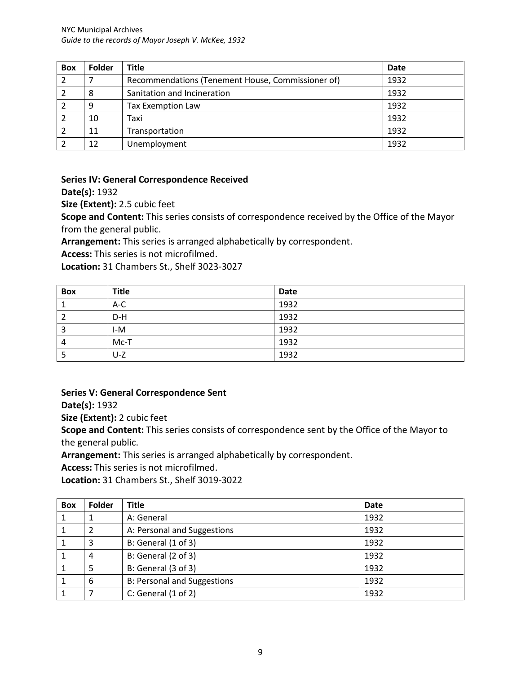| <b>Box</b> | Folder | <b>Title</b>                                      | Date |
|------------|--------|---------------------------------------------------|------|
|            |        | Recommendations (Tenement House, Commissioner of) | 1932 |
|            | 8      | Sanitation and Incineration                       | 1932 |
|            | 9      | Tax Exemption Law                                 | 1932 |
|            | 10     | Taxi                                              | 1932 |
|            | 11     | Transportation                                    | 1932 |
|            | 12     | Unemployment                                      | 1932 |

#### **Series IV: General Correspondence Received**

**Date(s):** 1932

**Size (Extent):** 2.5 cubic feet

**Scope and Content:** This series consists of correspondence received by the Office of the Mayor from the general public.

**Arrangement:** This series is arranged alphabetically by correspondent.

**Access:** This series is not microfilmed.

**Location:** 31 Chambers St., Shelf 3023-3027

| <b>Box</b> | <b>Title</b> | <b>Date</b> |
|------------|--------------|-------------|
|            | A-C          | 1932        |
|            | D-H          | 1932        |
|            | I-M          | 1932        |
| 4          | $Mc-T$       | 1932        |
|            | $U-Z$        | 1932        |

#### **Series V: General Correspondence Sent**

**Date(s):** 1932

**Size (Extent):** 2 cubic feet

**Scope and Content:** This series consists of correspondence sent by the Office of the Mayor to the general public.

**Arrangement:** This series is arranged alphabetically by correspondent.

**Access:** This series is not microfilmed.

**Location:** 31 Chambers St., Shelf 3019-3022

| <b>Box</b> | Folder         | <b>Title</b>                       | <b>Date</b> |
|------------|----------------|------------------------------------|-------------|
|            |                | A: General                         | 1932        |
|            | 2              | A: Personal and Suggestions        | 1932        |
|            | 3              | B: General (1 of 3)                | 1932        |
|            | $\overline{4}$ | B: General (2 of 3)                | 1932        |
|            | 5              | B: General (3 of 3)                | 1932        |
|            | 6              | <b>B: Personal and Suggestions</b> | 1932        |
|            | 7              | C: General $(1$ of $2)$            | 1932        |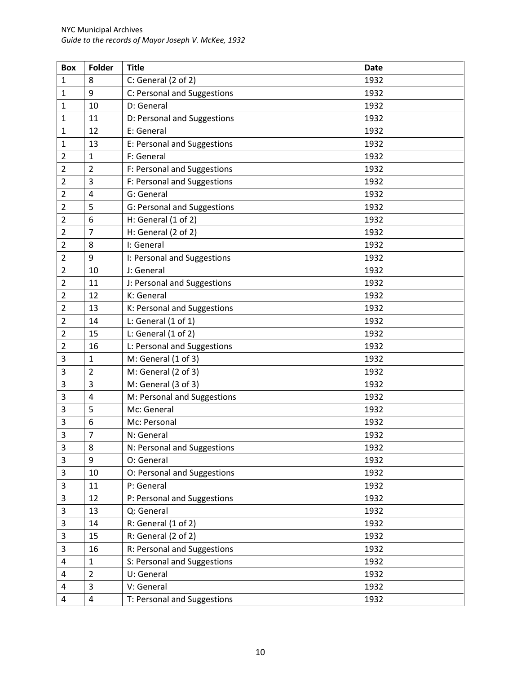| Box            | Folder         | <b>Title</b>                | <b>Date</b> |
|----------------|----------------|-----------------------------|-------------|
| 1              | 8              | C: General (2 of 2)         | 1932        |
| $\mathbf 1$    | 9              | C: Personal and Suggestions | 1932        |
| 1              | 10             | D: General                  | 1932        |
| 1              | 11             | D: Personal and Suggestions | 1932        |
| 1              | 12             | E: General                  | 1932        |
| 1              | 13             | E: Personal and Suggestions | 1932        |
| 2              | $\mathbf 1$    | F: General                  | 1932        |
| $\overline{2}$ | $\overline{2}$ | F: Personal and Suggestions | 1932        |
| $\overline{2}$ | 3              | F: Personal and Suggestions | 1932        |
| $\overline{2}$ | $\overline{4}$ | G: General                  | 1932        |
| 2              | 5              | G: Personal and Suggestions | 1932        |
| $\overline{2}$ | 6              | H: General (1 of 2)         | 1932        |
| 2              | 7              | H: General (2 of 2)         | 1932        |
| 2              | 8              | I: General                  | 1932        |
| $\overline{2}$ | 9              | I: Personal and Suggestions | 1932        |
| $\overline{c}$ | 10             | J: General                  | 1932        |
| $\overline{2}$ | 11             | J: Personal and Suggestions | 1932        |
| $\overline{2}$ | 12             | K: General                  | 1932        |
| $\overline{2}$ | 13             | K: Personal and Suggestions | 1932        |
| 2              | 14             | L: General $(1 of 1)$       | 1932        |
| $\overline{2}$ | 15             | L: General $(1$ of $2)$     | 1932        |
| 2              | 16             | L: Personal and Suggestions | 1932        |
| 3              | $\mathbf{1}$   | M: General (1 of 3)         | 1932        |
| 3              | $\overline{2}$ | M: General (2 of 3)         | 1932        |
| 3              | 3              | M: General (3 of 3)         | 1932        |
| $\mathsf 3$    | $\overline{4}$ | M: Personal and Suggestions | 1932        |
| 3              | 5              | Mc: General                 | 1932        |
| 3              | 6              | Mc: Personal                | 1932        |
| 3              | $\overline{7}$ | N: General                  | 1932        |
| 3              | 8              | N: Personal and Suggestions | 1932        |
| 3              | 9              | O: General                  | 1932        |
| 3              | 10             | O: Personal and Suggestions | 1932        |
| $\mathsf 3$    | 11             | P: General                  | 1932        |
| 3              | 12             | P: Personal and Suggestions | 1932        |
| 3              | 13             | Q: General                  | 1932        |
| 3              | 14             | R: General (1 of 2)         | 1932        |
| 3              | 15             | R: General (2 of 2)         | 1932        |
| $\mathsf 3$    | 16             | R: Personal and Suggestions | 1932        |
| 4              | $\mathbf{1}$   | S: Personal and Suggestions | 1932        |
| 4              | $\overline{2}$ | U: General                  | 1932        |
| 4              | 3              | V: General                  | 1932        |
| 4              | $\pmb{4}$      | T: Personal and Suggestions | 1932        |